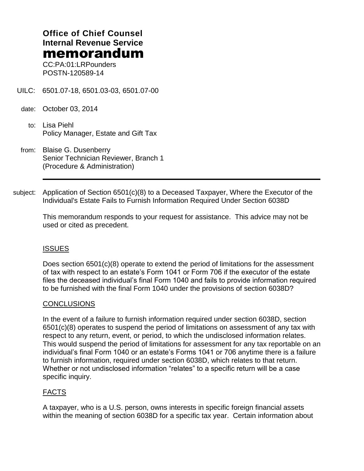# **Office of Chief Counsel Internal Revenue Service** memorandum

CC:PA:01:LRPounders POSTN-120589-14

- UILC: 6501.07-18, 6501.03-03, 6501.07-00
- date: October 03, 2014
	- to: Lisa Piehl Policy Manager, Estate and Gift Tax
- from: Blaise G. Dusenberry Senior Technician Reviewer, Branch 1 (Procedure & Administration)
- subject: Application of Section 6501(c)(8) to a Deceased Taxpayer, Where the Executor of the Individual's Estate Fails to Furnish Information Required Under Section 6038D

This memorandum responds to your request for assistance. This advice may not be used or cited as precedent.

### **ISSUES**

Does section 6501(c)(8) operate to extend the period of limitations for the assessment of tax with respect to an estate's Form 1041 or Form 706 if the executor of the estate files the deceased individual's final Form 1040 and fails to provide information required to be furnished with the final Form 1040 under the provisions of section 6038D?

### **CONCLUSIONS**

In the event of a failure to furnish information required under section 6038D, section 6501(c)(8) operates to suspend the period of limitations on assessment of any tax with respect to any return, event, or period, to which the undisclosed information relates. This would suspend the period of limitations for assessment for any tax reportable on an individual's final Form 1040 or an estate's Forms 1041 or 706 anytime there is a failure to furnish information, required under section 6038D, which relates to that return. Whether or not undisclosed information "relates" to a specific return will be a case specific inquiry.

### FACTS

A taxpayer, who is a U.S. person, owns interests in specific foreign financial assets within the meaning of section 6038D for a specific tax year. Certain information about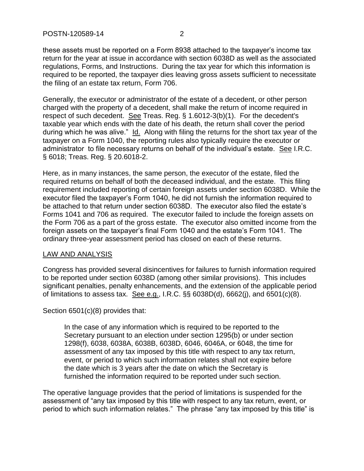these assets must be reported on a Form 8938 attached to the taxpayer's income tax return for the year at issue in accordance with section 6038D as well as the associated regulations, Forms, and Instructions. During the tax year for which this information is required to be reported, the taxpayer dies leaving gross assets sufficient to necessitate the filing of an estate tax return, Form 706.

Generally, the executor or administrator of the estate of a decedent, or other person charged with the property of a decedent, shall make the return of income required in respect of such decedent. See Treas. Reg. § 1.6012-3(b)(1). For the decedent's taxable year which ends with the date of his death, the return shall cover the period during which he was alive." Id. Along with filing the returns for the short tax year of the taxpayer on a Form 1040, the reporting rules also typically require the executor or administrator to file necessary returns on behalf of the individual's estate. See I.R.C. § 6018; Treas. Reg. § 20.6018-2.

Here, as in many instances, the same person, the executor of the estate, filed the required returns on behalf of both the deceased individual, and the estate. This filing requirement included reporting of certain foreign assets under section 6038D. While the executor filed the taxpayer's Form 1040, he did not furnish the information required to be attached to that return under section 6038D. The executor also filed the estate's Forms 1041 and 706 as required. The executor failed to include the foreign assets on the Form 706 as a part of the gross estate. The executor also omitted income from the foreign assets on the taxpayer's final Form 1040 and the estate's Form 1041. The ordinary three-year assessment period has closed on each of these returns.

### LAW AND ANALYSIS

Congress has provided several disincentives for failures to furnish information required to be reported under section 6038D (among other similar provisions). This includes significant penalties, penalty enhancements, and the extension of the applicable period of limitations to assess tax. See e.g., I.R.C. §§ 6038D(d), 6662(j), and 6501(c)(8).

### Section 6501(c)(8) provides that:

In the case of any information which is required to be reported to the Secretary pursuant to an election under section 1295(b) or under section 1298(f), 6038, 6038A, 6038B, 6038D, 6046, 6046A, or 6048, the time for assessment of any tax imposed by this title with respect to any tax return, event, or period to which such information relates shall not expire before the date which is 3 years after the date on which the Secretary is furnished the information required to be reported under such section.

The operative language provides that the period of limitations is suspended for the assessment of "any tax imposed by this title with respect to any tax return, event, or period to which such information relates." The phrase "any tax imposed by this title" is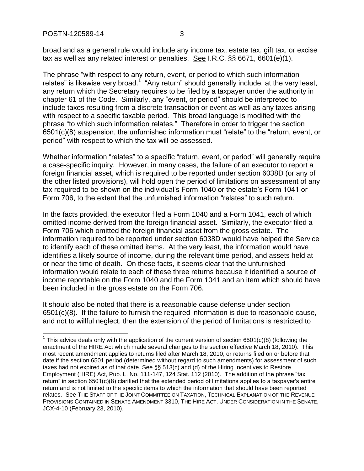$\overline{a}$ 

broad and as a general rule would include any income tax, estate tax, gift tax, or excise tax as well as any related interest or penalties. See I.R.C. §§ 6671, 6601(e)(1).

The phrase "with respect to any return, event, or period to which such information relates" is likewise very broad.<sup>1</sup> "Any return" should generally include, at the very least, any return which the Secretary requires to be filed by a taxpayer under the authority in chapter 61 of the Code. Similarly, any "event, or period" should be interpreted to include taxes resulting from a discrete transaction or event as well as any taxes arising with respect to a specific taxable period. This broad language is modified with the phrase "to which such information relates." Therefore in order to trigger the section 6501(c)(8) suspension, the unfurnished information must "relate" to the "return, event, or period" with respect to which the tax will be assessed.

Whether information "relates" to a specific "return, event, or period" will generally require a case-specific inquiry. However, in many cases, the failure of an executor to report a foreign financial asset, which is required to be reported under section 6038D (or any of the other listed provisions), will hold open the period of limitations on assessment of any tax required to be shown on the individual's Form 1040 or the estate's Form 1041 or Form 706, to the extent that the unfurnished information "relates" to such return.

In the facts provided, the executor filed a Form 1040 and a Form 1041, each of which omitted income derived from the foreign financial asset. Similarly, the executor filed a Form 706 which omitted the foreign financial asset from the gross estate. The information required to be reported under section 6038D would have helped the Service to identify each of these omitted items. At the very least, the information would have identifies a likely source of income, during the relevant time period, and assets held at or near the time of death. On these facts, it seems clear that the unfurnished information would relate to each of these three returns because it identified a source of income reportable on the Form 1040 and the Form 1041 and an item which should have been included in the gross estate on the Form 706.

It should also be noted that there is a reasonable cause defense under section 6501(c)(8). If the failure to furnish the required information is due to reasonable cause, and not to willful neglect, then the extension of the period of limitations is restricted to

<sup>&</sup>lt;sup>1</sup> This advice deals only with the application of the current version of section 6501(c)(8) (following the enactment of the HIRE Act which made several changes to the section effective March 18, 2010). This most recent amendment applies to returns filed after March 18, 2010, or returns filed on or before that date if the section 6501 period (determined without regard to such amendments) for assessment of such taxes had not expired as of that date. See §§ 513(c) and (d) of the Hiring Incentives to Restore Employment (HIRE) Act, Pub. L. No. 111-147, 124 Stat. 112 (2010). The addition of the phrase "tax return" in section 6501(c)(8) clarified that the extended period of limitations applies to a taxpayer's entire return and is not limited to the specific items to which the information that should have been reported relates. See THE STAFF OF THE JOINT COMMITTEE ON TAXATION, TECHNICAL EXPLANATION OF THE REVENUE PROVISIONS CONTAINED IN SENATE AMENDMENT 3310, THE HIRE ACT, UNDER CONSIDERATION IN THE SENATE, JCX-4-10 (February 23, 2010).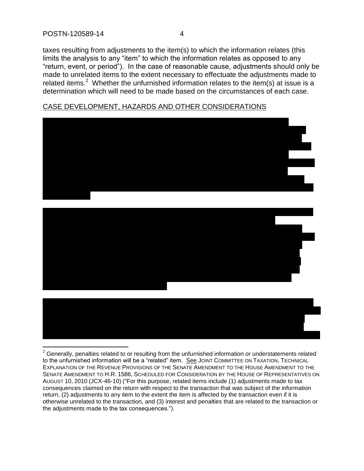$\overline{a}$ 

taxes resulting from adjustments to the item(s) to which the information relates (this limits the analysis to any "item" to which the information relates as opposed to any "return, event, or period"). In the case of reasonable cause, adjustments should only be made to unrelated items to the extent necessary to effectuate the adjustments made to related items.<sup>2</sup> Whether the unfurnished information relates to the item(s) at issue is a determination which will need to be made based on the circumstances of each case.

## CASE DEVELOPMENT, HAZARDS AND OTHER CONSIDERATIONS







 $2$  Generally, penalties related to or resulting from the unfurnished information or understatements related to the unfurnished information will be a "related" item. See JOINT COMMITTEE ON TAXATION, TECHNICAL EXPLANATION OF THE REVENUE PROVISIONS OF THE SENATE AMENDMENT TO THE HOUSE AMENDMENT TO THE SENATE AMENDMENT TO H.R. 1586, SCHEDULED FOR CONSIDERATION BY THE HOUSE OF REPRESENTATIVES ON AUGUST 10, 2010 (JCX-46-10) ("For this purpose, related items include (1) adjustments made to tax consequences claimed on the return with respect to the transaction that was subject of the information return, (2) adjustments to any item to the extent the item is affected by the transaction even if it is otherwise unrelated to the transaction, and (3) interest and penalties that are related to the transaction or the adjustments made to the tax consequences.").